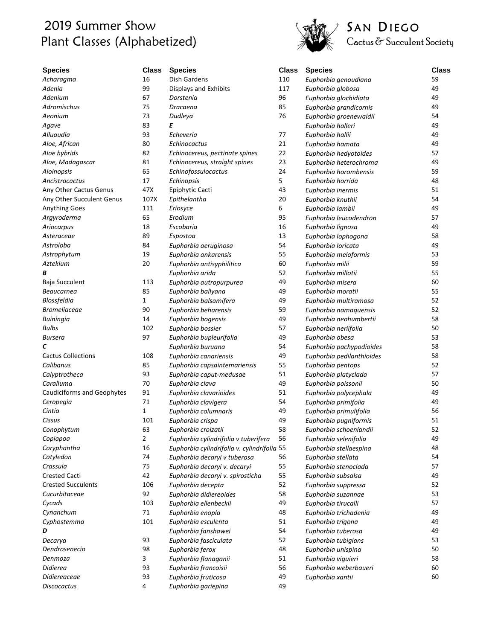## 2019 Summer Show Plant Classes (Alphabetized)



## SAN DIEGO<br>Cactus & Succulent Society

| <b>Species</b>                    | <b>Class</b>         | <b>Species</b>                                          | <b>Class</b> | <b>Species</b>                               | <b>Class</b> |
|-----------------------------------|----------------------|---------------------------------------------------------|--------------|----------------------------------------------|--------------|
| Acharagma                         | 16                   | <b>Dish Gardens</b>                                     | 110          | Euphorbia genoudiana                         | 59           |
| Adenia                            | 99                   | <b>Displays and Exhibits</b>                            | 117          | Euphorbia globosa                            | 49           |
| Adenium                           | 67                   | Dorstenia                                               | 96           | Euphorbia glochidiata                        | 49           |
| <b>Adromischus</b>                | 75                   | Dracaena                                                | 85           | Euphorbia grandicornis                       | 49           |
| Aeonium                           | 73                   | Dudleya                                                 | 76           | Euphorbia groenewaldii                       | 54           |
| Agave                             | 83                   | Ε                                                       |              | Euphorbia halleri                            | 49           |
| Alluaudia                         | 93                   | Echeveria                                               | 77           | Euphorbia hallii                             | 49           |
| Aloe, African                     | 80                   | Echinocactus                                            | 21           | Euphorbia hamata                             | 49           |
| Aloe hybrids                      | 82                   | Echinocereus, pectinate spines                          | 22           | Euphorbia hedyotoides                        | 57           |
| Aloe, Madagascar                  | 81                   | Echinocereus, straight spines                           | 23           | Euphorbia heterochroma                       | 49           |
| Aloinopsis                        | 65                   | Echinofossulocactus                                     | 24           | Euphorbia horombensis                        | 59           |
| Ancistrocactus                    | 17                   | Echinopsis                                              | 5            | Euphorbia horrida                            | 48           |
| Any Other Cactus Genus            | 47X                  | Epiphytic Cacti                                         | 43           | Euphorbia inermis                            | 51           |
| Any Other Succulent Genus         | 107X                 | Epithelantha                                            | 20           | Euphorbia knuthii                            | 54           |
| Anything Goes                     | 111                  | Eriosyce                                                | 6            | Euphorbia lambii                             | 49           |
| Argyroderma                       | 65                   | Erodium                                                 | 95           | Euphorbia leucodendron                       | 57           |
| Ariocarpus                        | 18                   | Escobaria                                               | 16           | Euphorbia lignosa                            | 49           |
| Asteraceae                        | 89                   | Espostoa                                                | 13           | Euphorbia lophogona                          | 58           |
| Astroloba                         | 84                   | Euphorbia aeruginosa                                    | 54           | Euphorbia loricata                           | 49           |
| Astrophytum                       | 19                   | Euphorbia ankarensis                                    | 55           | Euphorbia meloformis                         | 53           |
| Aztekium                          | 20                   | Euphorbia antisyphilitica                               | 60           | Euphorbia milii                              | 59           |
| В                                 |                      | Euphorbia arida                                         | 52           | Euphorbia millotii                           | 55           |
| Baja Succulent                    | 113                  | Euphorbia autropurpurea                                 | 49           | Euphorbia misera                             | 60           |
| Beaucarnea                        | 85                   | Euphorbia ballyana                                      | 49           | Euphorbia moratii                            | 55           |
| Blossfeldia                       | $\mathbf{1}$         | Euphorbia balsamifera                                   | 49           | Euphorbia multiramosa                        | 52           |
| <b>Bromeliaceae</b>               | 90                   | Euphorbia beharensis                                    | 59           | Euphorbia namaquensis                        | 52           |
| <b>Buiningia</b>                  | 14                   | Euphorbia bogensis                                      | 49           | Euphorbia neohumbertii                       | 58           |
| <b>Bulbs</b>                      | 102                  |                                                         | 57           |                                              | 50           |
| Bursera                           | 97                   | Euphorbia bossier<br>Euphorbia bupleurifolia            | 49           | Euphorbia neriifolia<br>Euphorbia obesa      | 53           |
| C                                 |                      | Euphorbia buruana                                       | 54           | Euphorbia pachypodioides                     | 58           |
| <b>Cactus Collections</b>         | 108                  |                                                         | 49           |                                              | 58           |
| Calibanus                         | 85                   | Euphorbia canariensis                                   | 55           | Euphorbia pedilanthioides                    | 52           |
| Calyptrotheca                     | 93                   | Euphorbia capsaintemariensis<br>Euphorbia caput-medusae | 51           | Euphorbia pentops<br>Euphorbia platyclada    | 57           |
| Caralluma                         | 70                   | Euphorbia clava                                         | 49           |                                              | 50           |
|                                   | 91                   |                                                         | 51           | Euphorbia poissonii<br>Euphorbia polycephala | 49           |
| <b>Caudiciforms and Geophytes</b> | 71                   | Euphorbia clavarioides                                  | 54           |                                              | 49           |
| Ceropegia<br>Cintia               | $\mathbf{1}$         | Euphorbia clavigera                                     | 49           | Euphorbia primifolia                         | 56           |
|                                   |                      | Euphorbia columnaris                                    |              | Euphorbia primulifolia                       | 51           |
| Cissus                            | 101                  | Euphorbia crispa                                        | 49           | Euphorbia pugniformis                        |              |
| Conophytum                        | 63                   | Euphorbia croizatii                                     | 58           | Euphorbia schoenlandii                       | 52           |
| Copiapoa                          | $\overline{2}$<br>16 | Euphorbia cylindrifolia v tuberifera                    | 56           | Euphorbia selenifolia                        | 49<br>48     |
| Coryphantha                       | 74                   | Euphorbia cylindrifolia v. cylindrifolia 55             |              | Euphorbia stellaespina                       |              |
| Cotyledon                         |                      | Euphorbia decaryi v tuberosa                            | 56           | Euphorbia stellata                           | 54           |
| Crassula                          | 75                   | Euphorbia decaryi v. decaryi                            | 55           | Euphorbia stenoclada                         | 57           |
| <b>Crested Cacti</b>              | 42                   | Euphorbia decaryi v. spirosticha                        | 55           | Euphorbia subsalsa                           | 49           |
| <b>Crested Succulents</b>         | 106                  | Euphorbia decepta                                       | 52           | Euphorbia suppressa                          | 52           |
| Cucurbitaceae                     | 92                   | Euphorbia didiereoides                                  | 58           | Euphorbia suzannae                           | 53           |
| Cycads                            | 103                  | Euphorbia ellenbeckii                                   | 49           | Euphorbia tirucalli                          | 57           |
| Cynanchum                         | 71                   | Euphorbia enopla                                        | 48           | Euphorbia trichadenia                        | 49           |
| Cyphostemma                       | 101                  | Euphorbia esculenta                                     | 51           | Euphorbia trigona                            | 49           |
| D                                 |                      | Euphorbia fanshawei                                     | 54           | Euphorbia tuberosa                           | 49           |
| Decarya                           | 93                   | Euphorbia fasciculata                                   | 52           | Euphorbia tubiglans                          | 53           |
| Dendrosenecio                     | 98                   | Euphorbia ferox                                         | 48           | Euphorbia unispina                           | 50           |
| Denmoza                           | 3                    | Euphorbia flanaganii                                    | 51           | Euphorbia viguieri                           | 58           |
| Didierea                          | 93                   | Euphorbia francoisii                                    | 56           | Euphorbia weberbaueri                        | 60           |
| Didiereaceae                      | 93                   | Euphorbia fruticosa                                     | 49           | Euphorbia xantii                             | 60           |
| <b>Discocactus</b>                | 4                    | Euphorbia gariepina                                     | 49           |                                              |              |